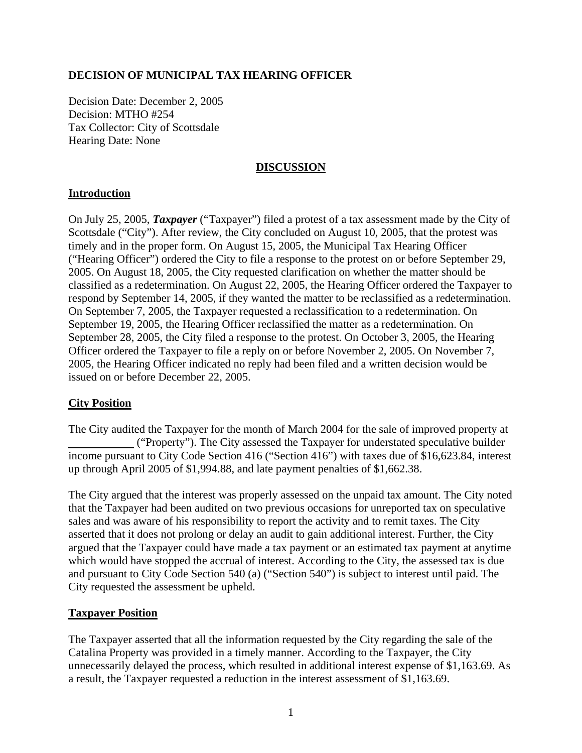## **DECISION OF MUNICIPAL TAX HEARING OFFICER**

Decision Date: December 2, 2005 Decision: MTHO #254 Tax Collector: City of Scottsdale Hearing Date: None

## **DISCUSSION**

## **Introduction**

On July 25, 2005, *Taxpayer* ("Taxpayer") filed a protest of a tax assessment made by the City of Scottsdale ("City"). After review, the City concluded on August 10, 2005, that the protest was timely and in the proper form. On August 15, 2005, the Municipal Tax Hearing Officer ("Hearing Officer") ordered the City to file a response to the protest on or before September 29, 2005. On August 18, 2005, the City requested clarification on whether the matter should be classified as a redetermination. On August 22, 2005, the Hearing Officer ordered the Taxpayer to respond by September 14, 2005, if they wanted the matter to be reclassified as a redetermination. On September 7, 2005, the Taxpayer requested a reclassification to a redetermination. On September 19, 2005, the Hearing Officer reclassified the matter as a redetermination. On September 28, 2005, the City filed a response to the protest. On October 3, 2005, the Hearing Officer ordered the Taxpayer to file a reply on or before November 2, 2005. On November 7, 2005, the Hearing Officer indicated no reply had been filed and a written decision would be issued on or before December 22, 2005.

#### **City Position**

The City audited the Taxpayer for the month of March 2004 for the sale of improved property at ("Property"). The City assessed the Taxpayer for understated speculative builder income pursuant to City Code Section 416 ("Section 416") with taxes due of \$16,623.84, interest up through April 2005 of \$1,994.88, and late payment penalties of \$1,662.38.

The City argued that the interest was properly assessed on the unpaid tax amount. The City noted that the Taxpayer had been audited on two previous occasions for unreported tax on speculative sales and was aware of his responsibility to report the activity and to remit taxes. The City asserted that it does not prolong or delay an audit to gain additional interest. Further, the City argued that the Taxpayer could have made a tax payment or an estimated tax payment at anytime which would have stopped the accrual of interest. According to the City, the assessed tax is due and pursuant to City Code Section 540 (a) ("Section 540") is subject to interest until paid. The City requested the assessment be upheld.

#### **Taxpayer Position**

The Taxpayer asserted that all the information requested by the City regarding the sale of the Catalina Property was provided in a timely manner. According to the Taxpayer, the City unnecessarily delayed the process, which resulted in additional interest expense of \$1,163.69. As a result, the Taxpayer requested a reduction in the interest assessment of \$1,163.69.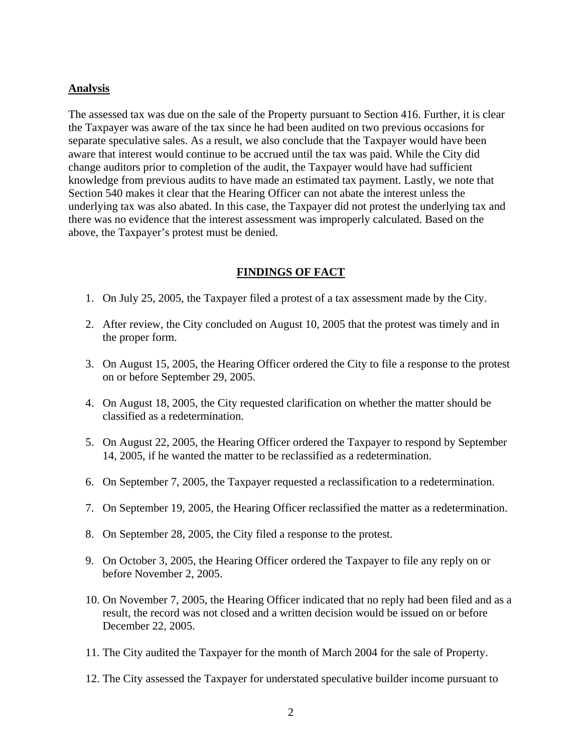#### **Analysis**

The assessed tax was due on the sale of the Property pursuant to Section 416. Further, it is clear the Taxpayer was aware of the tax since he had been audited on two previous occasions for separate speculative sales. As a result, we also conclude that the Taxpayer would have been aware that interest would continue to be accrued until the tax was paid. While the City did change auditors prior to completion of the audit, the Taxpayer would have had sufficient knowledge from previous audits to have made an estimated tax payment. Lastly, we note that Section 540 makes it clear that the Hearing Officer can not abate the interest unless the underlying tax was also abated. In this case, the Taxpayer did not protest the underlying tax and there was no evidence that the interest assessment was improperly calculated. Based on the above, the Taxpayer's protest must be denied.

## **FINDINGS OF FACT**

- 1. On July 25, 2005, the Taxpayer filed a protest of a tax assessment made by the City.
- 2. After review, the City concluded on August 10, 2005 that the protest was timely and in the proper form.
- 3. On August 15, 2005, the Hearing Officer ordered the City to file a response to the protest on or before September 29, 2005.
- 4. On August 18, 2005, the City requested clarification on whether the matter should be classified as a redetermination.
- 5. On August 22, 2005, the Hearing Officer ordered the Taxpayer to respond by September 14, 2005, if he wanted the matter to be reclassified as a redetermination.
- 6. On September 7, 2005, the Taxpayer requested a reclassification to a redetermination.
- 7. On September 19, 2005, the Hearing Officer reclassified the matter as a redetermination.
- 8. On September 28, 2005, the City filed a response to the protest.
- 9. On October 3, 2005, the Hearing Officer ordered the Taxpayer to file any reply on or before November 2, 2005.
- 10. On November 7, 2005, the Hearing Officer indicated that no reply had been filed and as a result, the record was not closed and a written decision would be issued on or before December 22, 2005.
- 11. The City audited the Taxpayer for the month of March 2004 for the sale of Property.
- 12. The City assessed the Taxpayer for understated speculative builder income pursuant to